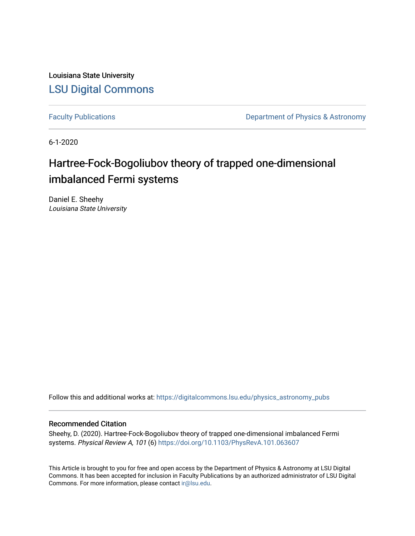Louisiana State University [LSU Digital Commons](https://digitalcommons.lsu.edu/)

[Faculty Publications](https://digitalcommons.lsu.edu/physics_astronomy_pubs) **Exercise 2 and Table 2 and Table 2 and Table 2 and Table 2 and Table 2 and Table 2 and Table 2 and Table 2 and Table 2 and Table 2 and Table 2 and Table 2 and Table 2 and Table 2 and Table 2 and Table** 

6-1-2020

# Hartree-Fock-Bogoliubov theory of trapped one-dimensional imbalanced Fermi systems

Daniel E. Sheehy Louisiana State University

Follow this and additional works at: [https://digitalcommons.lsu.edu/physics\\_astronomy\\_pubs](https://digitalcommons.lsu.edu/physics_astronomy_pubs?utm_source=digitalcommons.lsu.edu%2Fphysics_astronomy_pubs%2F4968&utm_medium=PDF&utm_campaign=PDFCoverPages) 

# Recommended Citation

Sheehy, D. (2020). Hartree-Fock-Bogoliubov theory of trapped one-dimensional imbalanced Fermi systems. Physical Review A, 101 (6) <https://doi.org/10.1103/PhysRevA.101.063607>

This Article is brought to you for free and open access by the Department of Physics & Astronomy at LSU Digital Commons. It has been accepted for inclusion in Faculty Publications by an authorized administrator of LSU Digital Commons. For more information, please contact [ir@lsu.edu](mailto:ir@lsu.edu).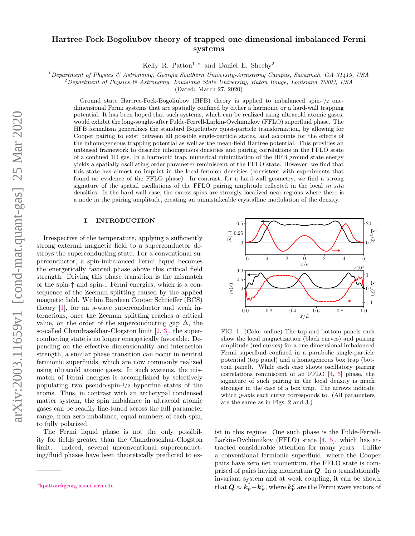# Hartree-Fock-Bogoliubov theory of trapped one-dimensional imbalanced Fermi systems

Kelly R. Patton<sup>1,\*</sup> and Daniel E. Sheehy<sup>2</sup>

<sup>1</sup>Department of Physics & Astronomy, Georgia Southern University-Armstrong Campus, Savannah, GA 31419, USA

 $2$ Department of Physics & Astronomy, Louisiana State University, Baton Rouge, Louisiana 70803, USA

(Dated: March 27, 2020)

Ground state Hartree-Fock-Bogoliubov (HFB) theory is applied to imbalanced spin-1/<sup>2</sup> onedimensional Fermi systems that are spatially confined by either a harmonic or a hard-wall trapping potential. It has been hoped that such systems, which can be realized using ultracold atomic gases, would exhibit the long-sought-after Fulde-Ferrell-Larkin-Ovchinnikov (FFLO) superfluid phase. The HFB formalism generalizes the standard Bogoliubov quasi-particle transformation, by allowing for Cooper pairing to exist between all possible single-particle states, and accounts for the effects of the inhomogeneous trapping potential as well as the mean-field Hartree potential. This provides an unbiased framework to describe inhomgenous densities and pairing correlations in the FFLO state of a confined 1D gas. In a harmonic trap, numerical minimization of the HFB ground state energy yields a spatially oscillating order parameter reminiscent of the FFLO state. However, we find that this state has almost no imprint in the local fermion densities (consistent with experiments that found no evidence of the FFLO phase). In contrast, for a hard-wall geometry, we find a strong signature of the spatial oscillations of the FFLO pairing amplitude reflected in the local in situ densities. In the hard wall case, the excess spins are strongly localized near regions where there is a node in the pairing amplitude, creating an unmistakeable crystalline modulation of the density.

#### I. INTRODUCTION

Irrespective of the temperature, applying a sufficiently strong external magnetic field to a superconductor destroys the superconducting state. For a conventional superconductor, a spin-imbalanced Fermi liquid becomes the energetically favored phase above this critical field strength. Driving this phase transition is the mismatch of the spin-↑ and spin-↓ Fermi energies, which is a consequence of the Zeeman splitting caused by the applied magnetic field. Within Bardeen Cooper Schrieffer (BCS) theory [\[1\]](#page-10-0), for an s-wave superconductor and weak interactions, once the Zeeman splitting reaches a critical value, on the order of the superconducting gap  $\Delta$ , the so-called Chandrasekhar-Clogston limit [\[2,](#page-10-1) [3\]](#page-10-2), the superconducting state is no longer energetically favorable. Depending on the effective dimensionality and interaction strength, a similar phase transition can occur in neutral fermionic superfluids, which are now commonly realized using ultracold atomic gases. In such systems, the mismatch of Fermi energies is accomplished by selectively populating two pseudo-spin-1/<sup>2</sup> hyperfine states of the atoms. Thus, in contrast with an archetypal condensed matter system, the spin imbalance in ultracold atomic gases can be readily fine-tuned across the full parameter range, from zero imbalance, equal numbers of each spin, to fully polarized.

The Fermi liquid phase is not the only possibility for fields greater than the Chandrasekhar-Clogston limit. Indeed, several unconventional superconducting/fluid phases have been theoretically predicted to ex-



<span id="page-1-1"></span>FIG. 1. (Color online) The top and bottom panels each show the local magnetization (black curves) and pairing amplitude (red curves) for a one-dimensional imbalanced Fermi superfluid confined in a parabolic single-particle potential (top panel) and a homogeneous box trap (bottom panel). While each case shows oscillatory pairing correlations reminiscent of an FFLO [\[4,](#page-10-3) [5\]](#page-10-4) phase, the signature of such pairing in the local density is much stronger in the case of a box trap. The arrows indicate which y-axis each curve corresponds to. (All parameters are the same as in Figs. [2](#page-6-0) and [3.](#page-8-0))

ist in this regime. One such phase is the Fulde-Ferrell-Larkin-Ovchinnikov (FFLO) state [\[4,](#page-10-3) [5\]](#page-10-4), which has attracted considerable attention for many years. Unlike a conventional fermionic superfluid, where the Cooper pairs have zero net momentum, the FFLO state is comprised of pairs having momentum  $Q$ . In a translationally invariant system and at weak coupling, it can be shown that  $Q \approx \mathbf{k}_{\mathrm{F}}^{\uparrow} - \mathbf{k}_{\mathrm{F}}^{\downarrow}$ , where  $\mathbf{k}_{\mathrm{F}}^{\sigma}$  are the Fermi wave vectors of

<span id="page-1-0"></span><sup>∗</sup>[kpatton@georgiasouthern.edu](mailto:kpatton@georgiasouthern.edu)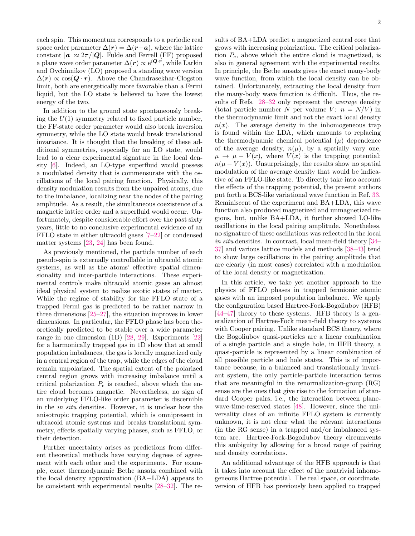each spin. This momentum corresponds to a periodic real space order parameter  $\Delta(r) = \Delta(r+a)$ , where the lattice constant  $|\mathbf{a}| \approx 2\pi/|\mathbf{Q}|$ . Fulde and Ferrell (FF) proposed a plane wave order parameter  $\Delta(r) \propto e^{i\mathbf{Q} \cdot \mathbf{r}}$ , while Larkin and Ovchinnikov (LO) proposed a standing wave version  $\Delta(r) \propto \cos(Q \cdot r)$ . Above the Chandrasekhar-Clogston limit, both are energetically more favorable than a Fermi liquid, but the LO state is believed to have the lowest energy of the two.

In addition to the ground state spontaneously breaking the  $U(1)$  symmetry related to fixed particle number, the FF-state order parameter would also break inversion symmetry, while the LO state would break translational invariance. It is thought that the breaking of these additional symmetries, especially for an LO state, would lead to a clear experimental signature in the local density [\[6\]](#page-10-5). Indeed, an LO-type superfluid would possess a modulated density that is commensurate with the oscillations of the local pairing function. Physically, this density modulation results from the unpaired atoms, due to the imbalance, localizing near the nodes of the pairing amplitude. As a result, the simultaneous coexistence of a magnetic lattice order and a superfluid would occur. Unfortunately, despite considerable effort over the past sixty years, little to no conclusive experimental evidence of an FFLO state in either ultracold gases [\[7–](#page-10-6)[22\]](#page-10-7) or condensed matter systems [\[23,](#page-10-8) [24\]](#page-10-9) has been found.

As previously mentioned, the particle number of each pseudo-spin is externally controllable in ultracold atomic systems, as well as the atoms' effective spatial dimensionality and inter-particle interactions. These experimental controls make ultracold atomic gases an almost ideal physical system to realize exotic states of matter. While the regime of stability for the FFLO state of a trapped Fermi gas is predicted to be rather narrow in three dimensions [\[25](#page-10-10)[–27\]](#page-10-11), the situation improves in lower dimensions. In particular, the FFLO phase has been theoretically predicted to be stable over a wide parameter range in one dimension (1D) [\[28,](#page-10-12) [29\]](#page-10-13). Experiments [\[22\]](#page-10-7) for a harmonically trapped gas in 1D show that at small population imbalances, the gas is locally magnetized only in a central region of the trap, while the edges of the cloud remain unpolarized. The spatial extent of the polarized central region grows with increasing imbalance until a critical polarization  $P_c$  is reached, above which the entire cloud becomes magnetic. Nevertheless, no sign of an underlying FFLO-like order parameter is discernible in the in situ densities. However, it is unclear how the anisotropic trapping potential, which is omnipresent in ultracold atomic systems and breaks translational symmetry, effects spatially varying phases, such as FFLO, or their detection.

Further uncertainty arises as predictions from different theoretical methods have varying degrees of agreement with each other and the experiments. For example, exact thermodynamic Bethe ansatz combined with the local density approximation (BA+LDA) appears to be consistent with experimental results [\[28](#page-10-12)[–32\]](#page-10-14). The results of BA+LDA predict a magnetized central core that grows with increasing polarization. The critical polarization  $P_c$ , above which the entire cloud is magnetized, is also in general agreement with the experimental results. In principle, the Bethe ansatz gives the exact many-body wave function, from which the local density can be obtained. Unfortunately, extracting the local density from the many-body wave function is difficult. Thus, the re-sults of Refs. [28](#page-10-12)[–32](#page-10-14) only represent the *average* density (total particle number N per volume V:  $n = N/V$ ) in the thermodynamic limit and not the exact local density  $n(x)$ . The average density in the inhomogeneous trap is found within the LDA, which amounts to replacing the thermodynamic chemical potential  $(\mu)$  dependence of the average density,  $n(\mu)$ , by a spatially vary one,  $\mu \rightarrow \mu - V(x)$ , where  $V(x)$  is the trapping potential;  $n(\mu - V(x))$ . Unsurprisingly, the results show no spatial modulation of the average density that would be indicative of an FFLO-like state. To directly take into account the effects of the trapping potential, the present authors put forth a BCS-like variational wave function in Ref. [33.](#page-10-15) Reminiscent of the experiment and BA+LDA, this wave function also produced magnetized and unmagnetized regions, but, unlike BA+LDA, it further showed LO-like oscillations in the local pairing amplitude. Nonetheless, no signature of these oscillations was reflected in the local in situ densities. In contrast, local mean-field theory [\[34–](#page-10-16) [37\]](#page-10-17) and various lattice models and methods [\[38–](#page-10-18)[43\]](#page-10-19) tend to show large oscillations in the pairing amplitude that are clearly (in most cases) correlated with a modulation of the local density or magnetization.

In this article, we take yet another approach to the physics of FFLO phases in trapped fermionic atomic gases with an imposed population imbalance. We apply the configuration based Hartree-Fock-Bogoliubov (HFB) [\[44–](#page-10-20)[47\]](#page-10-21) theory to these systems. HFB theory is a generalization of Hartree-Fock mean-field theory to systems with Cooper pairing. Unlike standard BCS theory, where the Bogoliubov quasi-particles are a linear combination of a single particle and a single hole, in HFB theory, a quasi-particle is represented by a linear combination of all possible particle and hole states. This is of importance because, in a balanced and translationally invariant system, the only particle-particle interaction terms that are meaningful in the renormalization-group (RG) sense are the ones that give rise to the formation of standard Cooper pairs, i.e., the interaction between planewave-time-reserved states [\[48\]](#page-11-0). However, since the universality class of an infinite FFLO system is currently unknown, it is not clear what the relevant interactions (in the RG sense) in a trapped and/or imbalanced system are. Hartree-Fock-Bogoliubov theory circumvents this ambiguity by allowing for a broad range of pairing and density correlations.

An additional advantage of the HFB approach is that it takes into account the effect of the nontrivial inhomogeneous Hartree potential. The real space, or coordinate, version of HFB has previously been applied to trapped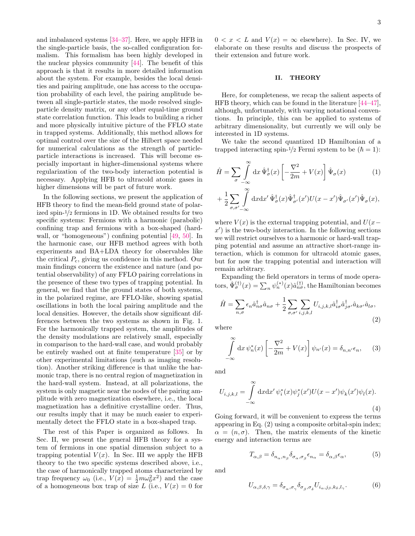and imbalanced systems [\[34](#page-10-16)[–37\]](#page-10-17). Here, we apply HFB in the single-particle basis, the so-called configuration formalism. This formalism has been highly developed in the nuclear physics community [\[44\]](#page-10-20). The benefit of this approach is that it results in more detailed information about the system. For example, besides the local densities and pairing amplitude, one has access to the occupation probability of each level, the pairing amplitude between all single-particle states, the mode resolved singleparticle density matrix, or any other equal-time ground state correlation function. This leads to building a richer and more physically intuitive picture of the FFLO state in trapped systems. Additionally, this method allows for optimal control over the size of the Hilbert space needed for numerical calculations as the strength of particleparticle interactions is increased. This will become especially important in higher-dimensional systems where regularization of the two-body interaction potential is necessary. Applying HFB to ultracold atomic gases in higher dimensions will be part of future work.

In the following sections, we present the application of HFB theory to find the mean-field ground state of polarized spin-1/<sup>2</sup> fermions in 1D. We obtained results for two specific systems: Fermions with a harmonic (parabolic) confining trap and fermions with a box-shaped (hardwall, or "homogeneous") confining potential [\[49,](#page-11-1) [50\]](#page-11-2). In the harmonic case, our HFB method agrees with both experiments and BA+LDA theory for observables like the critical  $P_c$ , giving us confidence in this method. Our main findings concern the existence and nature (and potential observability) of any FFLO pairing correlations in the presence of these two types of trapping potential. In general, we find that the ground states of both systems, in the polarized regime, are FFLO-like, showing spatial oscillations in both the local pairing amplitude and the local densities. However, the details show significant differences between the two systems as shown in Fig. [1.](#page-1-1) For the harmonically trapped system, the amplitudes of the density modulations are relatively small, especially in comparison to the hard-wall case, and would probably be entirely washed out at finite temperature [\[35\]](#page-10-22) or by other experimental limitations (such as imaging resolution). Another striking difference is that unlike the harmonic trap, there is no central region of magnetization in the hard-wall system. Instead, at all polarizations, the system is only magnetic near the nodes of the pairing amplitude with zero magnetization elsewhere, i.e., the local magnetization has a definitive crystalline order. Thus, our results imply that it may be much easier to experimentally detect the FFLO state in a box-shaped trap.

The rest of this Paper is organized as follows. In Sec. [II,](#page-3-0) we present the general HFB theory for a system of fermions in one spatial dimension subject to a trapping potential  $V(x)$ . In Sec. [III](#page-5-0) we apply the HFB theory to the two specific systems described above, i.e., the case of harmonically trapped atoms characterized by trap frequency  $\omega_0$  (i.e.,  $V(x) = \frac{1}{2} m \omega_0^2 x^2$ ) and the case of a homogeneous box trap of size L (i.e.,  $V(x) = 0$  for

 $0 < x < L$  and  $V(x) = \infty$  elsewhere). In Sec. [IV,](#page-9-0) we elaborate on these results and discuss the prospects of their extension and future work.

#### <span id="page-3-0"></span>II. THEORY

Here, for completeness, we recap the salient aspects of HFB theory, which can be found in the literature [\[44–](#page-10-20)[47\]](#page-10-21), although, unfortunately, with varying notational conventions. In principle, this can be applied to systems of arbitrary dimensionality, but currently we will only be interested in 1D systems.

We take the second quantized 1D Hamiltonian of a trapped interacting spin- $\frac{1}{2}$  Fermi system to be  $(\hbar = 1)$ :

$$
\hat{H} = \sum_{\sigma} \int_{-\infty}^{\infty} dx \, \hat{\Psi}_{\sigma}^{\dagger}(x) \left[ -\frac{\nabla^2}{2m} + V(x) \right] \hat{\Psi}_{\sigma}(x) \tag{1}
$$

$$
+\frac{1}{2}\sum_{\sigma,\sigma'-\infty}\int\limits_{-\infty}^{\infty}dxdx'\,\hat{\Psi}_{\sigma}^{\dagger}(x)\hat{\Psi}_{\sigma'}^{\dagger}(x')U(x-x')\hat{\Psi}_{\sigma'}(x')\hat{\Psi}_{\sigma}(x),
$$

where  $V(x)$  is the external trapping potential, and  $U(x$  $x'$ ) is the two-body interaction. In the following sections we will restrict ourselves to a harmonic or hard-wall trapping potential and assume an attractive short-range interaction, which is common for ultracold atomic gases, but for now the trapping potential and interaction will remain arbitrary.

Expanding the field operators in terms of mode operators,  $\hat{\Psi}_{\sigma}^{(\dagger)}(x) = \sum_{n} \psi_{n}^{(*)}(x) \hat{a}_{n\sigma}^{(\dagger)}$ , the Hamiltonian becomes

<span id="page-3-1"></span>
$$
\hat{H} = \sum_{n,\sigma} \epsilon_n \hat{a}_{n\sigma}^\dagger \hat{a}_{n\sigma} + \frac{1}{2} \sum_{\sigma,\sigma'} \sum_{i,j,k,l} U_{i,j,k,l} \hat{a}_{i\sigma}^\dagger \hat{a}_{j\sigma'}^\dagger \hat{a}_{k\sigma'} \hat{a}_{l\sigma},\tag{2}
$$

where

$$
\int_{-\infty}^{\infty} dx \, \psi_n^*(x) \left[ -\frac{\nabla^2}{2m} + V(x) \right] \psi_{n'}(x) = \delta_{n,n'} \epsilon_n, \qquad (3)
$$

and

<span id="page-3-2"></span>
$$
U_{i,j,k,l} = \int_{-\infty}^{\infty} dx dx' \psi_i^*(x) \psi_j^*(x') U(x - x') \psi_k(x') \psi_l(x).
$$
\n(4)

Going forward, it will be convenient to express the terms appearing in Eq. [\(2\)](#page-3-1) using a composite orbital-spin index;  $\alpha = (n, \sigma)$ . Then, the matrix elements of the kinetic energy and interaction terms are

$$
T_{\alpha,\beta} = \delta_{n_{\alpha},n_{\beta}} \delta_{\sigma_{\alpha},\sigma_{\beta}} \epsilon_{n_{\alpha}} = \delta_{\alpha,\beta} \epsilon_{\alpha},\tag{5}
$$

and

$$
U_{\alpha,\beta,\delta,\gamma} = \delta_{\sigma_{\alpha},\sigma_{\gamma}} \delta_{\sigma_{\beta},\sigma_{\delta}} U_{i_{\alpha},j_{\beta},k_{\delta},l_{\gamma}}.
$$
 (6)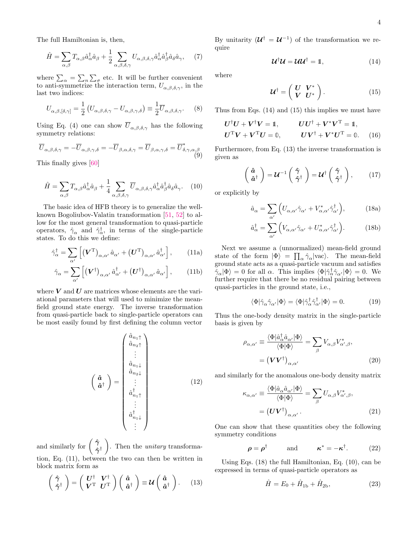The full Hamiltonian is, then,

<span id="page-4-10"></span>
$$
\hat{H} = \sum_{\alpha,\beta} T_{\alpha,\beta} \hat{a}_{\alpha}^{\dagger} \hat{a}_{\beta} + \frac{1}{2} \sum_{\alpha,\beta,\delta,\gamma} U_{\alpha,\beta,\delta,\gamma} \hat{a}_{\alpha}^{\dagger} \hat{a}_{\beta}^{\dagger} \hat{a}_{\delta} \hat{a}_{\gamma}, \quad (7)
$$

where  $\sum_{\alpha} = \sum_{n} \sum_{\sigma}$  etc. It will be further convenient to anti-symmetrize the interaction term,  $U_{\alpha,\beta,\delta,\gamma}$ , in the last two indices:

$$
U_{\alpha,\beta,[\delta,\gamma]} = \frac{1}{2} \left( U_{\alpha,\beta,\delta,\gamma} - U_{\alpha,\beta,\gamma,\delta} \right) \equiv \frac{1}{2} \overline{U}_{\alpha,\beta,\delta,\gamma}.
$$
 (8)

Using Eq. [\(4\)](#page-3-2) one can show  $\overline{U}_{\alpha,\beta,\delta,\gamma}$  has the following symmetry relations:

$$
\overline{U}_{\alpha,\beta,\delta,\gamma} = -\overline{U}_{\alpha,\beta,\gamma,\delta} = -\overline{U}_{\beta,\alpha,\delta,\gamma} = \overline{U}_{\beta,\alpha,\gamma,\delta} = \overline{U}_{\delta,\gamma,\alpha,\beta}^* \tag{9}
$$

This finally gives [\[60\]](#page-11-3)

<span id="page-4-5"></span>
$$
\hat{H} = \sum_{\alpha,\beta} T_{\alpha,\beta} \hat{a}_{\alpha}^{\dagger} \hat{a}_{\beta} + \frac{1}{4} \sum_{\alpha,\beta,\delta,\gamma} \overline{U}_{\alpha,\beta,\delta,\gamma} \hat{a}_{\alpha}^{\dagger} \hat{a}_{\beta}^{\dagger} \hat{a}_{\delta} \hat{a}_{\gamma}.
$$
 (10)

The basic idea of HFB theory is to generalize the wellknown Bogoliubov-Valatin transformation [\[51,](#page-11-4) [52\]](#page-11-5) to allow for the most general transformation to quasi-particle operators,  $\hat{\gamma}_{\alpha}$  and  $\hat{\gamma}_{\alpha}^{\dagger}$ , in terms of the single-particle states. To do this we define:

<span id="page-4-0"></span>
$$
\hat{\gamma}_{\alpha}^{\dagger} = \sum_{\alpha'} \left[ \left( \boldsymbol{V}^{\mathrm{T}} \right)_{\alpha,\alpha'} \hat{a}_{\alpha'} + \left( \boldsymbol{U}^{\mathrm{T}} \right)_{\alpha,\alpha'} \hat{a}_{\alpha'}^{\dagger} \right], \qquad (11a)
$$

$$
\hat{\gamma}_{\alpha} = \sum_{\alpha'} \left[ \left( \boldsymbol{V}^{\dagger} \right)_{\alpha,\alpha'} \hat{a}_{\alpha'}^{\dagger} + \left( \boldsymbol{U}^{\dagger} \right)_{\alpha,\alpha'} \hat{a}_{\alpha'} \right], \qquad (11b)
$$

where  $V$  and  $U$  are matrices whose elements are the variational parameters that will used to minimize the meanfield ground state energy. The inverse transformation from quasi-particle back to single-particle operators can be most easily found by first defining the column vector

$$
\begin{pmatrix}\n\hat{a}_{n_1\uparrow} \\
\hat{a}_{n_2\uparrow} \\
\vdots \\
\hat{a}_{n_{1\downarrow}} \\
\hat{a}_{n_1\downarrow} \\
\vdots \\
\hat{a}_{n_{1\uparrow}}^{\dagger} \\
\vdots \\
\hat{a}_{n_{1\downarrow}}^{\dagger}\n\end{pmatrix}
$$
\n(12)

and similarly for  $\left(\begin{array}{c} \hat{\gamma} \\ \hat{\gamma} \end{array}\right)$  $\hat{\gamma}^{\dagger}$  $\setminus$ . Then the unitary transformation, Eq. [\(11\)](#page-4-0), between the two can then be written in block matrix form as

<span id="page-4-3"></span>
$$
\begin{pmatrix} \hat{\gamma} \\ \hat{\gamma}^{\dagger} \end{pmatrix} = \begin{pmatrix} U^{\dagger} & V^{\dagger} \\ V^{\mathrm{T}} & U^{\mathrm{T}} \end{pmatrix} \begin{pmatrix} \hat{a} \\ \hat{a}^{\dagger} \end{pmatrix} \equiv \mathcal{U} \begin{pmatrix} \hat{a} \\ \hat{a}^{\dagger} \end{pmatrix} . \tag{13}
$$

By unitarity  $(\mathcal{U}^{\dagger} = \mathcal{U}^{-1})$  of the transformation we require

<span id="page-4-1"></span>
$$
\mathcal{U}^{\dagger} \mathcal{U} = \mathcal{U} \mathcal{U}^{\dagger} = \mathbb{1}, \tag{14}
$$

where

<span id="page-4-6"></span><span id="page-4-2"></span>
$$
\mathcal{U}^{\dagger} = \left(\begin{array}{cc} U & V^* \\ V & U^* \end{array}\right). \tag{15}
$$

Thus from Eqs. [\(14\)](#page-4-1) and [\(15\)](#page-4-2) this implies we must have

$$
U^{\dagger}U + V^{\dagger}V = \mathbb{1}, \qquad UU^{\dagger} + V^*V^{\mathrm{T}} = \mathbb{1},
$$
  

$$
U^{\mathrm{T}}V + V^{\mathrm{T}}U = \mathbb{0}, \qquad UV^{\dagger} + V^*U^{\mathrm{T}} = \mathbb{0}. \tag{16}
$$

Furthermore, from Eq. [\(13\)](#page-4-3) the inverse transformation is given as

$$
\begin{pmatrix} \hat{a} \\ \hat{a}^{\dagger} \end{pmatrix} = \mathcal{U}^{-1} \begin{pmatrix} \hat{\gamma} \\ \hat{\gamma}^{\dagger} \end{pmatrix} = \mathcal{U}^{\dagger} \begin{pmatrix} \hat{\gamma} \\ \hat{\gamma}^{\dagger} \end{pmatrix}, \qquad (17)
$$

or explicitly by

<span id="page-4-4"></span>
$$
\hat{a}_{\alpha} = \sum_{\alpha'} \left( U_{\alpha,\alpha'} \hat{\gamma}_{\alpha'} + V_{\alpha,\alpha'}^* \hat{\gamma}_{\alpha'}^\dagger \right),\tag{18a}
$$

$$
\hat{a}_{\alpha}^{\dagger} = \sum_{\alpha'} \left( V_{\alpha,\alpha'} \hat{\gamma}_{\alpha'} + U_{\alpha,\alpha'}^* \hat{\gamma}_{\alpha'}^{\dagger} \right). \tag{18b}
$$

Next we assume a (unnormalized) mean-field ground state of the form  $|\Phi\rangle = \prod_{\alpha} \hat{\gamma}_{\alpha} |\text{vac}\rangle$ . The mean-field ground state acts as a quasi-particle vacuum and satisfies  $\hat{\gamma}_{\alpha}|\Phi\rangle = 0$  for all  $\alpha$ . This implies  $\langle \Phi | \hat{\gamma}_{\alpha}^{\dagger} \hat{\gamma}_{\alpha'} | \Phi \rangle = 0$ . We further require that there be no residual pairing between quasi-particles in the ground state, i.e.,

$$
\langle \Phi | \hat{\gamma}_{\alpha} \hat{\gamma}_{\alpha'} | \Phi \rangle = \langle \Phi | \hat{\gamma}_{\alpha}^{\dagger} \hat{\gamma}_{\alpha'}^{\dagger} | \Phi \rangle = 0. \tag{19}
$$

Thus the one-body density matrix in the single-particle basis is given by

<span id="page-4-8"></span>
$$
\rho_{\alpha,\alpha'} \equiv \frac{\langle \Phi | \hat{a}_{\alpha}^{\dagger} \hat{a}_{\alpha'} | \Phi \rangle}{\langle \Phi | \Phi \rangle} = \sum_{\beta} V_{\alpha,\beta} V_{\alpha',\beta}^*,
$$

$$
= (\boldsymbol{V} \boldsymbol{V}^{\dagger})_{\alpha,\alpha'} \tag{20}
$$

and similarly for the anomalous one-body density matrix

<span id="page-4-9"></span>
$$
\kappa_{\alpha,\alpha'} \equiv \frac{\langle \Phi | \hat{a}_{\alpha} \hat{a}_{\alpha'} | \Phi \rangle}{\langle \Phi | \Phi \rangle} = \sum_{\beta} U_{\alpha,\beta} V_{\alpha',\beta}^*,
$$

$$
= (\boldsymbol{U} \boldsymbol{V}^{\dagger})_{\alpha,\alpha'}.
$$
(21)

One can show that these quantities obey the following symmetry conditions

$$
\rho = \rho^{\dagger} \quad \text{and} \quad \kappa^* = -\kappa^{\dagger}. \quad (22)
$$

Using Eqs. [\(18\)](#page-4-4) the full Hamiltonian, Eq. [\(10\)](#page-4-5), can be expressed in terms of quasi-particle operators as

<span id="page-4-7"></span>
$$
\hat{H} = E_0 + \hat{H}_{1b} + \hat{H}_{2b},
$$
\n(23)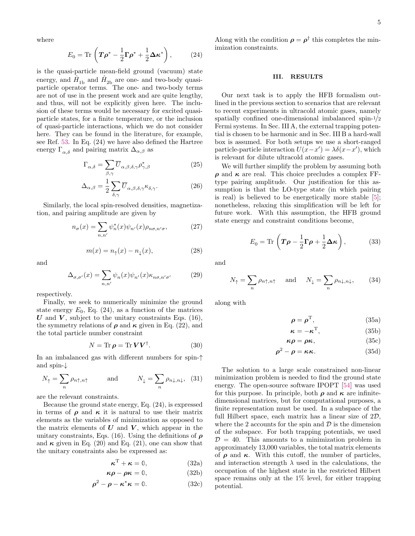where

$$
E_0 = \text{Tr}\left(\boldsymbol{T}\boldsymbol{\rho}^* - \frac{1}{2}\boldsymbol{\Gamma}\boldsymbol{\rho}^* + \frac{1}{2}\boldsymbol{\Delta}\boldsymbol{\kappa}^*\right),\qquad(24)
$$

is the quasi-particle mean-field ground (vacuum) state energy, and  $\hat{H}_{\rm 1b}$  and  $\hat{H}_{\rm 2b}$  are one- and two-body quasiparticle operator terms. The one- and two-body terms are not of use in the present work and are quite lengthy, and thus, will not be explicitly given here. The inclusion of these terms would be necessary for excited quasiparticle states, for a finite temperature, or the inclusion of quasi-particle interactions, which we do not consider here. They can be found in the literature, for example, see Ref. [53.](#page-11-6) In Eq. [\(24\)](#page-5-1) we have also defined the Hartree energy  $\Gamma_{\alpha\delta}$  and pairing matrix  $\Delta_{\alpha,\beta}$  as

$$
\Gamma_{\alpha,\delta} = \sum_{\beta,\gamma} \overline{U}_{\alpha,\beta,\delta,\gamma} \rho_{\gamma,\beta}^* \tag{25}
$$

$$
\Delta_{\alpha,\beta} = \frac{1}{2} \sum_{\delta,\gamma} \overline{U}_{\alpha,\beta,\delta,\gamma} \kappa_{\delta,\gamma}.
$$
 (26)

Similarly, the local spin-resolved densities, magnetization, and pairing amplitude are given by

<span id="page-5-2"></span>
$$
n_{\sigma}(x) = \sum_{n,n'} \psi_n^*(x)\psi_{n'}(x)\rho_{n\sigma,n'\sigma},\tag{27}
$$

<span id="page-5-3"></span>
$$
m(x) = n_{\uparrow}(x) - n_{\downarrow}(x), \tag{28}
$$

and

$$
\Delta_{\sigma,\sigma'}(x) = \sum_{n,n'} \psi_n(x) \psi_{n'}(x) \kappa_{n\sigma,n'\sigma'} \tag{29}
$$

respectively.

Finally, we seek to numerically minimize the ground state energy  $E_0$ , Eq. [\(24\)](#page-5-1), as a function of the matrices U and V, subject to the unitary constraints Eqs.  $(16)$ , the symmetry relations of  $\rho$  and  $\kappa$  given in Eq. [\(22\)](#page-4-7), and the total particle number constraint

$$
N = \text{Tr}\,\boldsymbol{\rho} = \text{Tr}\,\boldsymbol{V}\boldsymbol{V}^{\dagger}.\tag{30}
$$

In an imbalanced gas with different numbers for spin-↑ and spin-↓

$$
N_{\uparrow} = \sum_{n} \rho_{n\uparrow, n\uparrow} \qquad \text{and} \qquad N_{\downarrow} = \sum_{n} \rho_{n\downarrow, n\downarrow}, \tag{31}
$$

are the relevant constraints.

Because the ground state energy, Eq. [\(24\)](#page-5-1), is expressed in terms of  $\rho$  and  $\kappa$  it is natural to use their matrix elements as the variables of minimization as opposed to the matrix elements of  $U$  and  $V$ , which appear in the unitary constraints, Eqs. [\(16\)](#page-4-6). Using the definitions of  $\rho$ and  $\kappa$  given in Eq. [\(20\)](#page-4-8) and Eq. [\(21\)](#page-4-9), one can show that the unitary constraints also be expressed as:

$$
\boldsymbol{\kappa}^{\mathrm{T}} + \boldsymbol{\kappa} = \mathbb{0},\tag{32a}
$$

$$
\kappa \rho - \rho \kappa = 0, \qquad (32b)
$$

$$
\rho^2 - \rho - \kappa^* \kappa = 0. \tag{32c}
$$

<span id="page-5-1"></span>Along with the condition  $\rho = \rho^{\dagger}$  this completes the minimization constraints.

#### <span id="page-5-0"></span>III. RESULTS

Our next task is to apply the HFB formalism outlined in the previous section to scenarios that are relevant to recent experiments in ultracold atomic gases, namely spatially confined one-dimensional imbalanced spin-1/2 Fermi systems. In Sec. [III A,](#page-6-1) the external trapping potential is chosen to be harmonic and in Sec. [III B](#page-9-1) a hard-wall box is assumed. For both setups we use a short-ranged particle-particle interaction  $U(x-x') = \lambda \delta(x-x')$ , which is relevant for dilute ultracold atomic gases.

<span id="page-5-4"></span>We will further simplify the problem by assuming both  $\rho$  and  $\kappa$  are real. This choice precludes a complex FFtype pairing amplitude. Our justification for this assumption is that the LO-type state (in which pairing is real) is believed to be energetically more stable [\[5\]](#page-10-4); nonetheless, relaxing this simplification will be left for future work. With this assumption, the HFB ground state energy and constraint conditions become,

$$
E_0 = \text{Tr}\left(\boldsymbol{T}\boldsymbol{\rho} - \frac{1}{2}\boldsymbol{\Gamma}\boldsymbol{\rho} + \frac{1}{2}\boldsymbol{\Delta}\boldsymbol{\kappa}\right),\tag{33}
$$

and

$$
N_{\uparrow} = \sum_{n} \rho_{n\uparrow, n\uparrow} \quad \text{and} \quad N_{\downarrow} = \sum_{n} \rho_{n\downarrow, n\downarrow}, \tag{34}
$$

along with

$$
\rho = \rho^{\mathrm{T}},\tag{35a}
$$

$$
\kappa = -\kappa^{\mathrm{T}},\tag{35b}
$$

$$
\kappa \rho = \rho \kappa, \qquad (35c)
$$

$$
\rho^2 - \rho = \kappa \kappa. \tag{35d}
$$

The solution to a large scale constrained non-linear minimization problem is needed to find the ground state energy. The open-source software IPOPT [\[54\]](#page-11-7) was used for this purpose. In principle, both  $\rho$  and  $\kappa$  are infinitedimensional matrices, but for computational purposes, a finite representation must be used. In a subspace of the full Hilbert space, each matrix has a linear size of  $2\mathcal{D}$ , where the 2 accounts for the spin and  $\mathcal D$  is the dimension of the subspace. For both trapping potentials, we used  $D = 40$ . This amounts to a minimization problem in approximately 13,000 variables, the total matrix elements of  $\rho$  and  $\kappa$ . With this cutoff, the number of particles, and interaction strength  $\lambda$  used in the calculations, the occupation of the highest state in the restricted Hilbert space remains only at the 1% level, for either trapping potential.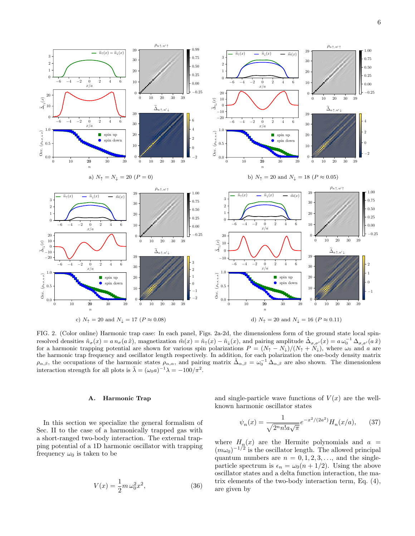<span id="page-6-4"></span><span id="page-6-2"></span>

<span id="page-6-0"></span>FIG. 2. (Color online) Harmonic trap case: In each panel, Figs. [2a-](#page-6-2)[2d,](#page-6-3) the dimensionless form of the ground state local spinresolved densities  $\tilde{n}_{\sigma}(x) = a n_{\sigma}(a\tilde{x})$ , magnetization  $\tilde{m}(x) = \tilde{n}_{\uparrow}(x) - \tilde{n}_{\downarrow}(x)$ , and pairing amplitude  $\tilde{\Delta}_{\sigma,\sigma'}(x) = a \omega_0^{-1} \Delta_{\sigma,\sigma'}(a\tilde{x})$ for a harmonic trapping potential are shown for various spin polarizations  $P = (N_{\uparrow} - N_{\downarrow})/(N_{\uparrow} + N_{\downarrow})$ , where  $\omega_0$  and a are the harmonic trap frequency and oscillator length respectively. In addition, for each polarization the one-body density matrix  $\rho_{\alpha,\beta}$ , the occupations of the harmonic states  $\rho_{\alpha,\alpha}$ , and pairing matrix  $\tilde{\Delta}_{\alpha,\beta} = \omega_0^{-1} \tilde{\Delta}_{\alpha,\beta}$  are also shown. The dimensionless interaction strength for all plots is  $\tilde{\lambda} = (\omega_0 a)^{-1} \lambda = -100/\pi^2$ .

## <span id="page-6-1"></span>A. Harmonic Trap

In this section we specialize the general formalism of Sec. [II](#page-3-0) to the case of a harmonically trapped gas with a short-ranged two-body interaction. The external trapping potential of a 1D harmonic oscillator with trapping frequency  $\omega_0$  is taken to be

$$
V(x) = \frac{1}{2}m\,\omega_0^2 x^2,
$$
\n(36)

<span id="page-6-3"></span>and single-particle wave functions of  $V(x)$  are the wellknown harmonic oscillator states

$$
\psi_n(x) = \frac{1}{\sqrt{2^n n! a \sqrt{\pi}}} e^{-x^2/(2a^2)} H_n(x/a), \qquad (37)
$$

where  $H_{n}(x)$  are the Hermite polynomials and  $a =$  $(m\omega_0)^{-1/2}$  is the oscillator length. The allowed principal quantum numbers are  $n = 0, 1, 2, 3, \ldots$ , and the singleparticle spectrum is  $\epsilon_n = \omega_0(n + 1/2)$ . Using the above oscillator states and a delta function interaction, the matrix elements of the two-body interaction term, Eq. [\(4\)](#page-3-2), are given by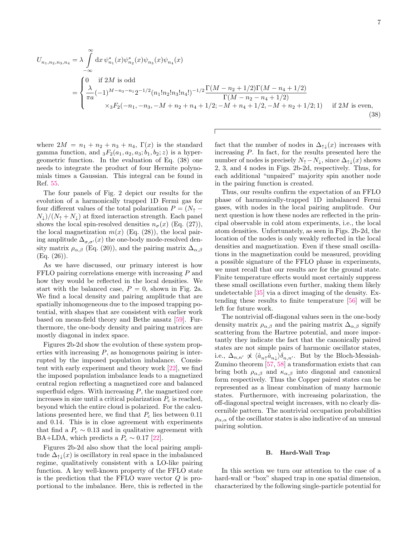$$
U_{n_1, n_2, n_3, n_4} = \lambda \int_{-\infty}^{0} dx \, \psi_{n_1}^*(x) \psi_{n_2}^*(x) \psi_{n_3}(x) \psi_{n_4}(x)
$$
  
= 
$$
\begin{cases} 0 & \text{if } 2M \text{ is odd} \\ \frac{\lambda}{\pi a} (-1)^{M - n_3 - n_1} 2^{-1/2} (n_1! n_2! n_3! n_4!)^{-1/2} \frac{\Gamma(M - n_2 + 1/2) \Gamma(M - n_4 + 1/2)}{\Gamma(M - n_2 - n_4 + 1/2)} \\ & \times {}_3F_2(-n_1, -n_3, -M + n_2 + n_4 + 1/2; -M + n_4 + 1/2, -M + n_2 + 1/2; 1) \end{cases} \text{ if } 2M \text{ is even,}
$$
(38)

where  $2M = n_1 + n_2 + n_3 + n_4$ ,  $\Gamma(x)$  is the standard gamma function, and  $_3F_2(a_1, a_2, a_3; b_1, b_2; z)$  is a hypergeometric function. In the evaluation of Eq. [\(38\)](#page-7-0) one needs to integrate the product of four Hermite polynomials times a Gaussian. This integral can be found in Ref. [55.](#page-11-8)

 $\infty$ 

The four panels of Fig. [2](#page-6-0) depict our results for the evolution of a harmonically trapped 1D Fermi gas for four different values of the total polarization  $P = (N_+ N_{\downarrow}$ )/( $N_{\uparrow} + N_{\downarrow}$ ) at fixed interaction strength. Each panel shows the local spin-resolved densities  $n_{\sigma}(x)$  (Eq. [\(27\)](#page-5-2)), the local magnetization  $m(x)$  (Eq. [\(28\)](#page-5-3)), the local pairing amplitude  $\Delta_{\sigma,\sigma'}(x)$  the one-body mode-resolved density matrix  $\rho_{\alpha,\beta}$  (Eq. [\(20\)](#page-4-8)), and the pairing matrix  $\Delta_{\alpha,\beta}$ (Eq. [\(26\)](#page-5-4)).

As we have discussed, our primary interest is how FFLO pairing correlations emerge with increasing P and how they would be reflected in the local densities. We start with the balanced case,  $P = 0$ , shown in Fig. [2a.](#page-6-2) We find a local density and pairing amplitude that are spatially inhomogeneous due to the imposed trapping potential, with shapes that are consistent with earlier work based on mean-field theory and Bethe ansatz [\[59\]](#page-11-9). Furthermore, the one-body density and pairing matrices are mostly diagonal in index space.

Figures [2b](#page-6-4)[-2d](#page-6-3) show the evolution of these system properties with increasing  $P$ , as homogenous pairing is interrupted by the imposed population imbalance. Consistent with early experiment and theory work [\[22\]](#page-10-7), we find the imposed population imbalance leads to a magnetized central region reflecting a magnetized core and balanced superfluid edges. With increasing  $P$ , the magnetized core increases in size until a critical polarization  $P_c$  is reached, beyond which the entire cloud is polarized. For the calculations presented here, we find that  $P_c$  lies between 0.11 and 0.14. This is in close agreement with experiments that find a  $P_c \sim 0.13$  and in qualitative agreement with BA+LDA, which predicts a  $P_c \sim 0.17$  [\[22\]](#page-10-7).

Figures [2b-](#page-6-4)[2d](#page-6-3) also show that the local pairing amplitude  $\Delta_{\uparrow\downarrow}(x)$  is oscillatory in real space in the imbalanced regime, qualitatively consistent with a LO-like pairing function. A key well-known property of the FFLO state is the prediction that the FFLO wave vector  $Q$  is proportional to the imbalance. Here, this is reflected in the

<span id="page-7-0"></span>fact that the number of nodes in  $\Delta_{\uparrow\downarrow}(x)$  increases with increasing P. In fact, for the results presented here the number of nodes is precisely  $N_{\uparrow} - N_{\downarrow}$ , since  $\Delta_{\uparrow\downarrow}(x)$  shows 2, 3, and 4 nodes in Figs. [2b-](#page-6-4)[2d,](#page-6-3) respectively. Thus, for each additional "unpaired" majority spin another node in the pairing function is created.

Thus, our results confirm the expectation of an FFLO phase of harmonically-trapped 1D imbalanced Fermi gases, with nodes in the local pairing amplitude. Our next question is how these nodes are reflected in the principal observable in cold atom experiments, i.e., the local atom densities. Unfortunately, as seen in Figs. [2b-](#page-6-4)[2d,](#page-6-3) the location of the nodes is only weakly reflected in the local densities and magnetization. Even if these small oscillations in the magnetization could be measured, providing a possible signature of the FFLO phase in experiments, we must recall that our results are for the ground state. Finite temperature effects would most certainly suppress these small oscillations even further, making them likely undetectable [\[35\]](#page-10-22) via a direct imaging of the density. Extending these results to finite temperature [\[56\]](#page-11-10) will be left for future work.

The nontrivial off-diagonal values seen in the one-body density matrix  $\rho_{\alpha,\beta}$  and the pairing matrix  $\Delta_{\alpha,\beta}$  signify scattering from the Hartree potential, and more importantly they indicate the fact that the canonically paired states are not simple pairs of harmonic oscillator states, i.e.,  $\Delta_{n,n'} \not\propto \langle \hat{a}_{n\uparrow} \hat{a}_{n\downarrow} \rangle \delta_{n,n'}$ . But by the Bloch-Messiah-Zumino theorem [\[57,](#page-11-11) [58\]](#page-11-12) a transformation exists that can bring both  $\rho_{\alpha,\beta}$  and  $\kappa_{\alpha,\beta}$  into diagonal and canonical form respectively. Thus the Copper paired states can be represented as a linear combination of many harmonic states. Furthermore, with increasing polarization, the off-diagonal spectral weight increases, with no clearly discernible pattern. The nontrivial occupation probabilities  $\rho_{\alpha,\alpha}$  of the oscillator states is also indicative of an unusual pairing solution.

## B. Hard-Wall Trap

In this section we turn our attention to the case of a hard-wall or "box" shaped trap in one spatial dimension, characterized by the following single-particle potential for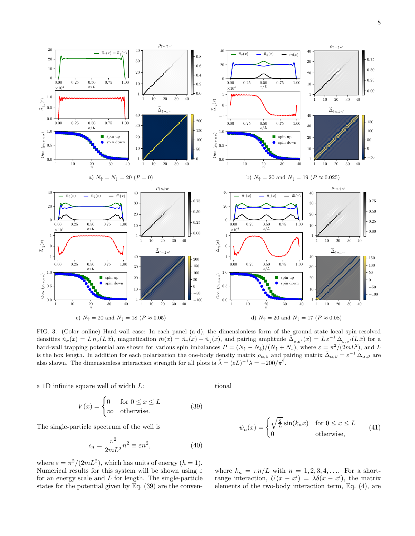

<span id="page-8-4"></span><span id="page-8-0"></span>FIG. 3. (Color online) Hard-wall case: In each panel (a-d), the dimensionless form of the ground state local spin-resolved densities  $\tilde{n}_{\sigma}(x) = L n_{\sigma}(L\tilde{x})$ , magnetization  $\tilde{m}(x) = \tilde{n}_{\uparrow}(x) - \tilde{n}_{\downarrow}(x)$ , and pairing amplitude  $\tilde{\Delta}_{\sigma,\sigma'}(x) = L \varepsilon^{-1} \Delta_{\sigma,\sigma'}(L\tilde{x})$  for a hard-wall trapping potential are shown for various spin imbalances  $P = (N_{\uparrow} - N_{\downarrow})/(N_{\uparrow} + N_{\downarrow})$ , where  $\varepsilon = \pi^2/(2mL^2)$ , and L is the box length. In addition for each polarization the one-body density matrix  $\rho_{\alpha,\beta}$  and pairing matrix  $\tilde{\Delta}_{\alpha,\beta} = \varepsilon^{-1} \Delta_{\alpha,\beta}$  are also shown. The dimensionless interaction strength for all plots is  $\tilde{\lambda} = (\varepsilon L)^{-1} \lambda = -200/\pi^2$ .

a 1D infinite square well of width L:

<span id="page-8-3"></span><span id="page-8-2"></span>tional

<span id="page-8-1"></span>
$$
V(x) = \begin{cases} 0 & \text{for } 0 \le x \le L \\ \infty & \text{otherwise.} \end{cases}
$$
 (39)

The single-particle spectrum of the well is

$$
\epsilon_n = \frac{\pi^2}{2mL^2} n^2 \equiv \varepsilon n^2,\tag{40}
$$

where  $\varepsilon = \pi^2/(2mL^2)$ , which has units of energy  $(\hbar = 1)$ . Numerical results for this system will be shown using  $\varepsilon$ for an energy scale and L for length. The single-particle states for the potential given by Eq. [\(39\)](#page-8-1) are the conven-

$$
\psi_n(x) = \begin{cases} \sqrt{\frac{2}{L}} \sin(k_n x) & \text{for } 0 \le x \le L \\ 0 & \text{otherwise,} \end{cases}
$$
(41)

where  $k_n = \pi n/L$  with  $n = 1, 2, 3, 4, \ldots$  For a shortrange interaction,  $U(x - x') = \lambda \delta(x - x')$ , the matrix elements of the two-body interaction term, Eq. [\(4\)](#page-3-2), are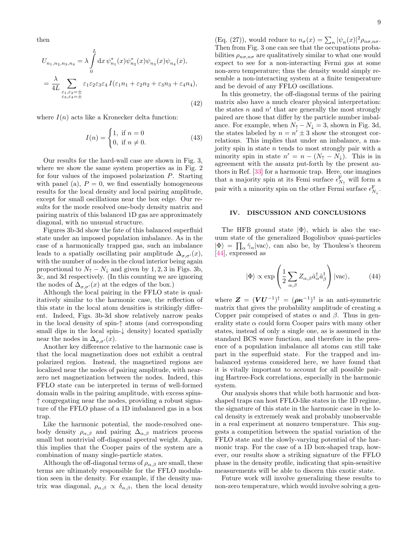then

$$
U_{n_1, n_2, n_3, n_4} = \lambda \int_0^L dx \, \psi_{n_1}^*(x) \psi_{n_2}^*(x) \psi_{n_3}(x) \psi_{n_4}(x),
$$
  
= 
$$
\frac{\lambda}{4L} \sum_{\substack{\varepsilon_1, \varepsilon_2 = \pm \\ \varepsilon_3, \varepsilon_4 = \pm}} \varepsilon_1 \varepsilon_2 \varepsilon_3 \varepsilon_4 I(\varepsilon_1 n_1 + \varepsilon_2 n_2 + \varepsilon_3 n_3 + \varepsilon_4 n_4),
$$
 (42)

where  $I(n)$  acts like a Kronecker delta function:

<span id="page-9-1"></span>
$$
I(n) = \begin{cases} 1, & \text{if } n = 0 \\ 0, & \text{if } n \neq 0. \end{cases}
$$
 (43)

Our results for the hard-wall case are shown in Fig. [3,](#page-8-0) where we show the same system properties as in Fig. [2](#page-6-0) for four values of the imposed polarization P. Starting with panel (a),  $P = 0$ , we find essentially homogeneous results for the local density and local pairing amplitude, except for small oscillations near the box edge. Our results for the mode resolved one-body density matrix and pairing matrix of this balanced 1D gas are approximately diagonal, with no unusual structure.

Figures [3b-](#page-8-2)[3d](#page-8-3) show the fate of this balanced superfluid state under an imposed population imbalance. As in the case of a harmonically trapped gas, such an imbalance leads to a spatially oscillating pair amplitude  $\Delta_{\sigma,\sigma'}(x)$ , with the number of nodes in the cloud interior being again proportional to  $N_{\uparrow} - N_{\perp}$  and given by 1, 2, 3 in Figs. [3b,](#page-8-2) [3c,](#page-8-4) and [3d](#page-8-3) respectively. (In this counting we are ignoring the nodes of  $\Delta_{\sigma,\sigma'}(x)$  at the edges of the box.)

Although the local pairing in the FFLO state is qualitatively similar to the harmonic case, the reflection of this state in the local atom densities is strikingly different. Indeed, Figs. [3b](#page-8-2)[-3d](#page-8-3) show relatively narrow peaks in the local density of spin-↑ atoms (and corresponding small dips in the local spin-↓ density) located spatially near the nodes in  $\Delta_{\sigma,\sigma'}(x)$ .

Another key difference relative to the harmonic case is that the local magnetization does not exhibit a central polarized region. Instead, the magnetized regions are localized near the nodes of pairing amplitude, with nearzero net magnetization between the nodes. Indeed, this FFLO state can be interpreted in terms of well-formed domain walls in the pairing amplitude, with excess spins- ↑ congregating near the nodes, providing a robust signature of the FFLO phase of a 1D imbalanced gas in a box trap.

Like the harmonic potential, the mode-resolved onebody density  $\rho_{\alpha,\beta}$  and pairing  $\Delta_{\alpha,\beta}$  matrices process small but nontrivial off-diagonal spectral weight. Again, this implies that the Cooper pairs of the system are a combination of many single-particle states.

Although the off-diagonal terms of  $\rho_{\alpha,\beta}$  are small, these terms are ultimately responsible for the FFLO modulation seen in the density. For example, if the density matrix was diagonal,  $\rho_{\alpha,\beta} \propto \delta_{\alpha,\beta}$ , then the local density

(Eq. [\(27\)](#page-5-2)), would reduce to  $n_{\sigma}(x) = \sum_{n} |\psi_n(x)|^2 \rho_{n\sigma,n\sigma}$ . Then from Fig. [3](#page-8-0) one can see that the occupations probabilities  $\rho_{n\sigma,n\sigma}$  are qualitatively similar to what one would expect to see for a non-interacting Fermi gas at some non-zero temperature; thus the density would simply resemble a non-interacting system at a finite temperature and be devoid of any FFLO oscillations.

In this geometry, the off-diagonal terms of the pairing matrix also have a much clearer physical interpretation: the states  $n$  and  $n'$  that are generally the most strongly paired are those that differ by the particle number imbalance. For example, when  $N_{\uparrow} - N_{\downarrow} = 3$ , shown in Fig. [3d,](#page-8-3) the states labeled by  $n = n' \pm 3$  show the strongest correlations. This implies that under an imbalance, a majority spin in state  $n$  tends to most strongly pair with a minority spin in state  $n' = n - (N_{\uparrow} - N_{\downarrow})$ . This is in agreement with the ansatz put-forth by the present authors in Ref. [\[33\]](#page-10-15) for a harmonic trap. Here, one imagines that a majority spin at its Femi surface  $\epsilon_{N_{\uparrow}}^{\rm F}$  will form a pair with a minority spin on the other Fermi surface  $\epsilon_{N_\downarrow}^\mathrm{F}$  .

#### <span id="page-9-0"></span>IV. DISCUSSION AND CONCLUSIONS

The HFB ground state  $|\Phi\rangle$ , which is also the vacuum state of the generalized Bogoliubov quasi-particles  $|\Phi\rangle = \prod_{\alpha} \hat{\gamma}_{\alpha} |\text{vac}\rangle$ , can also be, by Thouless's theorem [\[44\]](#page-10-20), expressed as

$$
|\Phi\rangle \propto \exp\left(\frac{1}{2}\sum_{\alpha,\beta} Z_{\alpha,\beta} \hat{a}_{\alpha}^{\dagger} \hat{a}_{\beta}^{\dagger}\right) |\text{vac}\rangle, \tag{44}
$$

where  $\boldsymbol{Z} = (\boldsymbol{V}\boldsymbol{U}^{-1})^{\dagger} = (\boldsymbol{\rho}\boldsymbol{\kappa}^{-1})^{\dagger}$  is an anti-symmetric matrix that gives the probability amplitude of creating a Copper pair comprised of states  $\alpha$  and  $\beta$ . Thus in generality state  $\alpha$  could form Cooper pairs with many other states, instead of only a single one, as is assumed in the standard BCS wave function, and therefore in the presence of a population imbalance all atoms can still take part in the superfluid state. For the trapped and imbalanced systems considered here, we have found that it is vitally important to account for all possible pairing Hartree-Fock correlations, especially in the harmonic system.

Our analysis shows that while both harmonic and boxshaped traps can host FFLO-like states in the 1D regime, the signature of this state in the harmonic case in the local density is extremely weak and probably unobservable in a real experiment at nonzero temperature. This suggests a competition between the spatial variation of the FFLO state and the slowly-varying potential of the harmonic trap. For the case of a 1D box-shaped trap, however, our results show a striking signature of the FFLO phase in the density profile, indicating that spin-sensitive measurements will be able to discern this exotic state.

Future work will involve generalizing these results to non-zero temperature, which would involve solving a gen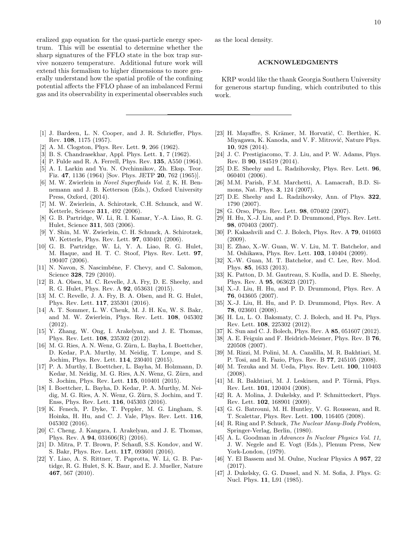eralized gap equation for the quasi-particle energy spectrum. This will be essential to determine whether the sharp signatures of the FFLO state in the box trap survive nonzero temperature. Additional future work will extend this formalism to higher dimensions to more generally understand how the spatial profile of the confining potential affects the FFLO phase of an imbalanced Fermi gas and its observability in experimental observables such

- <span id="page-10-0"></span>[1] J. Bardeen, L. N. Cooper, and J. R. Schrieffer, Phys. Rev. 108, 1175 (1957).
- <span id="page-10-1"></span>[2] A. M. Clogston, Phys. Rev. Lett. 9, 266 (1962).
- <span id="page-10-2"></span>[3] B. S. Chandrasekhar, Appl. Phys. Lett. 1, 7 (1962).
- <span id="page-10-3"></span>[4] P. Fulde and R. A. Ferrell, Phys. Rev. **135**, A550 (1964).
- <span id="page-10-4"></span>[5] A. I. Larkin and Yu. N. Ovchinnikov, Zh. Eksp. Teor. Fiz. 47, 1136 (1964) [Sov. Phys. JETP 20, 762 (1965)].
- <span id="page-10-5"></span>[6] M. W. Zwierlein in Novel Superfluids Vol. 2, K. H. Bennemann and J. B. Ketterson (Eds.), Oxford University Press, Oxford, (2014).
- <span id="page-10-6"></span>[7] M. W. Zwierlein, A. Schirotzek, C.H. Schunck, and W. Ketterle, Science 311, 492 (2006).
- [8] G. B. Partridge, W. Li, R. I. Kamar, Y.-A. Liao, R. G. Hulet, Science 311, 503 (2006).
- [9] Y. Shin, M. W. Zwierlein, C. H. Schunck, A. Schirotzek, W. Ketterle, Phys. Rev. Lett. **97**, 030401 (2006).
- [10] G. B. Partridge, W. Li, Y. A. Liao, R. G. Hulet, M. Haque, and H. T. C. Stoof, Phys. Rev. Lett. 97, 190407 (2006).
- [11] N. Navon, S. Nascimbéne, F. Chevy, and C. Salomon, Science 328, 729 (2010).
- [12] B. A. Olsen, M. C. Revelle, J.A. Fry, D. E. Sheehy, and R. G. Hulet, Phys. Rev. A 92, 053631 (2015).
- [13] M. C. Revelle, J. A. Fry, B. A. Olsen, and R. G. Hulet, Phys. Rev. Lett. 117, 235301 (2016).
- [14] A. T. Sommer, L. W. Cheuk, M. J. H. Ku, W. S. Bakr, and M. W. Zwierlein, Phys. Rev. Lett. 108, 045302 (2012).
- [15] Y. Zhang, W. Ong, I. Arakelyan, and J. E. Thomas, Phys. Rev. Lett. 108, 235302 (2012).
- [16] M. G. Ries, A. N. Wenz, G. Zürn, L. Bayha, I. Boettcher, D. Kedar, P.A. Murthy, M. Neidig, T. Lompe, and S. Jochim, Phys. Rev. Lett. 114, 230401 (2015).
- [17] P. A. Murthy, I. Boettcher, L. Bayha, M. Holzmann, D. Kedar, M. Neidig, M. G. Ries, A.N. Wenz, G. Zürn, and S. Jochim, Phys. Rev. Lett. 115, 010401 (2015).
- [18] I. Boettcher, L. Bayha, D. Kedar, P. A. Murthy, M. Neidig, M. G. Ries, A. N. Wenz, G. Zürn, S. Jochim, and T. Enss, Phys. Rev. Lett. 116, 045303 (2016).
- [19] K. Fenech, P. Dyke, T. Peppler, M. G. Lingham, S. Hoinka, H. Hu, and C. J. Vale, Phys. Rev. Lett. 116, 045302 (2016).
- [20] C. Cheng, J. Kangara, I. Arakelyan, and J. E. Thomas, Phys. Rev. A 94, 031606(R) (2016).
- [21] D. Mitra, P. T. Brown, P. Schauß, S.S. Kondov, and W. S. Bakr, Phys. Rev. Lett. 117, 093601 (2016).
- <span id="page-10-7"></span>[22] Y. Liao, A. S. Rittner, T. Paprotta, W. Li, G. B. Partidge, R. G. Hulet, S. K. Baur, and E. J. Mueller, Nature 467, 567 (2010).

as the local density.

## ACKNOWLEDGMENTS

KRP would like the thank Georgia Southern University for generous startup funding, which contributed to this work.

- <span id="page-10-8"></span>[23] H. Mayaffre, S. Krämer, M. Horvatić, C. Berthier, K. Miyagawa, K. Kanoda, and V. F. Mitrović, Nature Phys. 10, 928 (2014).
- <span id="page-10-9"></span>[24] J. C. Prestigiacomo, T. J. Liu, and P. W. Adams, Phys. Rev. B 90, 184519 (2014).
- <span id="page-10-10"></span>[25] D.E. Sheehy and L. Radzihovsky, Phys. Rev. Lett. 96, 060401 (2006).
- [26] M.M. Parish, F.M. Marchetti, A. Lamacraft, B.D. Simons, Nat. Phys. 3, 124 (2007).
- <span id="page-10-11"></span>[27] D.E. Sheehy and L. Radzihovsky, Ann. of Phys. 322, 1790 (2007).
- <span id="page-10-12"></span>[28] G. Orso, Phys. Rev. Lett. 98, 070402 (2007).
- <span id="page-10-13"></span>[29] H. Hu, X.-J. Liu, and P. D. Drummond, Phys. Rev. Lett. 98, 070403 (2007).
- [30] P. Kakashvili and C. J. Bolech, Phys. Rev. A 79, 041603 (2009).
- [31] E. Zhao, X.-W. Guan, W. V. Liu, M. T. Batchelor, and M. Oshikawa, Phys. Rev. Lett. 103, 140404 (2009).
- <span id="page-10-14"></span>[32] X.-W. Guan, M. T. Batchelor, and C. Lee, Rev. Mod. Phys. 85, 1633 (2013).
- <span id="page-10-15"></span>[33] K. Patton, D. M. Gautreau, S. Kudla, and D. E. Sheehy, Phys. Rev. A 95, 063623 (2017).
- <span id="page-10-16"></span>[34] X.-J. Liu, H. Hu, and P. D. Drummond, Phys. Rev. A 76, 043605 (2007).
- <span id="page-10-22"></span>[35] X.-J. Liu, H. Hu, and P. D. Drummond, Phys. Rev. A 78, 023601 (2008).
- [36] H. Lu, L. O. Baksmaty, C. J. Bolech, and H. Pu, Phys. Rev. Lett. 108, 225302 (2012).
- <span id="page-10-17"></span>[37] K. Sun and C. J. Bolech, Phys. Rev. A 85, 051607 (2012).
- <span id="page-10-18"></span>[38] A. E. Feiguin and F. Heidrich-Meisner, Phys. Rev. B 76, 220508 (2007).
- [39] M. Rizzi, M. Polini, M. A. Cazalilla, M. R. Bakhtiari, M. P. Tosi, and R. Fazio, Phys. Rev. B 77, 245105 (2008).
- [40] M. Tezuka and M. Ueda, Phys. Rev. Lett. 100, 110403 (2008).
- [41] M. R. Bakhtiari, M. J. Leskinen, and P. Törmä, Phys. Rev. Lett. 101, 120404 (2008).
- [42] R. A. Molina, J. Dukelsky, and P. Schmitteckert, Phys. Rev. Lett. 102, 168901 (2009).
- <span id="page-10-19"></span>[43] G. G. Batrouni, M. H. Huntley, V. G. Rousseau, and R. T. Scalettar, Phys. Rev. Lett. 100, 116405 (2008).
- <span id="page-10-20"></span>[44] R. Ring and P. Schuck, The Nuclear Many-Body Problem, Springer-Verlag, Berlin, (1980).
- [45] A. L. Goodman in Advances In Nuclear Physics Vol. 11, J. W. Negele and E. Vogt (Eds.), Plenum Press, New York-London, (1979).
- [46] Y. El Bassem and M. Oulne, Nuclear Physics A 957, 22 (2017).
- <span id="page-10-21"></span>[47] J. Dukelsky, G. G. Dussel, and N. M. Sofia, J. Phys. G: Nucl. Phys. 11, L91 (1985).